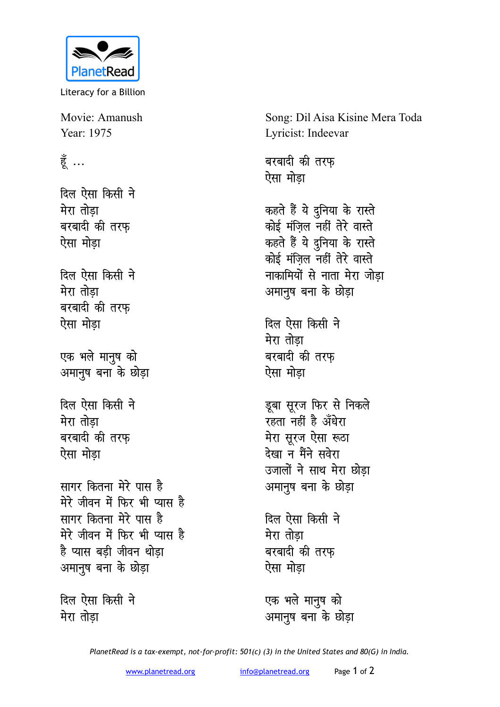

Literacy for a Billion

Movie: Amanush Year: 1975

## हूँ ...

दिल ऐसा किसी ने मेरा तोडा बरबादी की तरफ ऐसा मोडा

दिल ऐसा किसी ने मेरा तोडा बरबादी की तरफ़ ऐसा मोडा

एक भले मानुष को अमानुष बना के छोड़ा

दिल ऐसा किसी ने मेरा तोडा बरबादी की तरफ ऐसा मोडा

सागर कितना मेरे पास है मेरे जीवन में फिर भी प्यास है सागर कितना मेरे पास है मेरे जीवन में फिर भी प्यास है है प्यास बडी जीवन थोडा अमानुष बना के छोड़ा

दिल ऐसा किसी ने मेरा तोड़ा

Song: Dil Aisa Kisine Mera Toda Lyricist: Indeevar

बरबादी की तरफ ऐसा मोडा

कहते हैं ये दुनिया के रास्ते कोई मंजिल नहीं तेरे वास्ते कहते हैं ये दुनिया के रास्ते कोई मंजिल नहीं तेरे वास्ते नाकामियों से नाता मेरा जोडा अमानुष बना के छोड़ा

दिल ऐसा किसी ने मेरा तोडा बरबादी की तरफ ऐसा मोडा

डूबा सूरज फिर से निकले रहता नहीं है अँधेरा मेरा सूरज ऐसा रूठा देखा न मैंने सवेरा उजालों ने साथ मेरा छोड़ा अमानुष बना के छोड़ा

दिल ऐसा किसी ने मेरा तोडा बरबादी की तरफ ऐसा मोडा

एक भले मानुष को अमानुष बना के छोड़ा

PlanetRead is a tax-exempt, not-for-profit: 501(c) (3) in the United States and 80(G) in India.